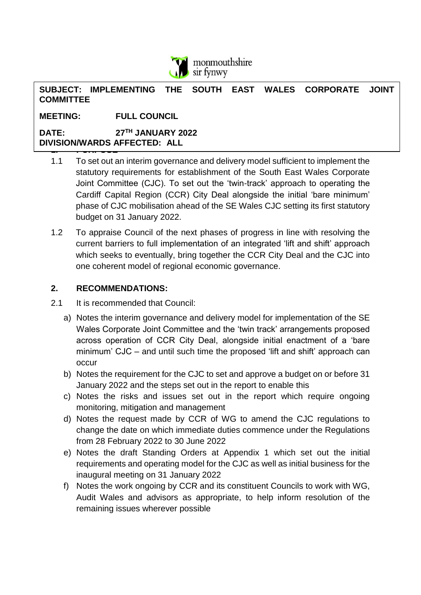

**SUBJECT: IMPLEMENTING THE SOUTH EAST WALES CORPORATE JOINT COMMITTEE**

**MEETING: FULL COUNCIL**

**1. PURPOSE DATE: 27TH JANUARY 2022 DIVISION/WARDS AFFECTED: ALL**

- 1.1 To set out an interim governance and delivery model sufficient to implement the statutory requirements for establishment of the South East Wales Corporate Joint Committee (CJC). To set out the 'twin-track' approach to operating the Cardiff Capital Region (CCR) City Deal alongside the initial 'bare minimum' phase of CJC mobilisation ahead of the SE Wales CJC setting its first statutory budget on 31 January 2022.
- 1.2 To appraise Council of the next phases of progress in line with resolving the current barriers to full implementation of an integrated 'lift and shift' approach which seeks to eventually, bring together the CCR City Deal and the CJC into one coherent model of regional economic governance.

### **2. RECOMMENDATIONS:**

- 2.1 It is recommended that Council:
	- a) Notes the interim governance and delivery model for implementation of the SE Wales Corporate Joint Committee and the 'twin track' arrangements proposed across operation of CCR City Deal, alongside initial enactment of a 'bare minimum' CJC – and until such time the proposed 'lift and shift' approach can occur
	- b) Notes the requirement for the CJC to set and approve a budget on or before 31 January 2022 and the steps set out in the report to enable this
	- c) Notes the risks and issues set out in the report which require ongoing monitoring, mitigation and management
	- d) Notes the request made by CCR of WG to amend the CJC regulations to change the date on which immediate duties commence under the Regulations from 28 February 2022 to 30 June 2022
	- e) Notes the draft Standing Orders at Appendix 1 which set out the initial requirements and operating model for the CJC as well as initial business for the inaugural meeting on 31 January 2022
	- f) Notes the work ongoing by CCR and its constituent Councils to work with WG, Audit Wales and advisors as appropriate, to help inform resolution of the remaining issues wherever possible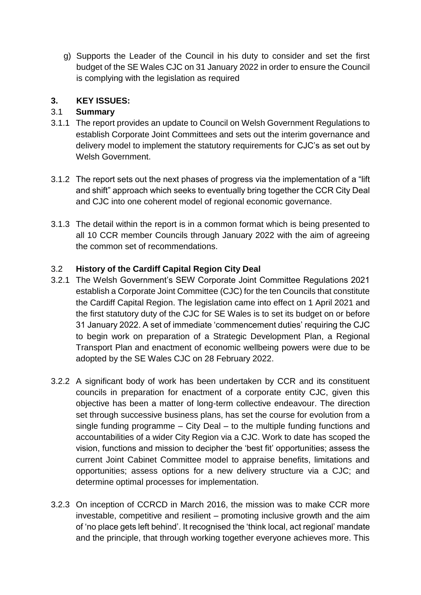g) Supports the Leader of the Council in his duty to consider and set the first budget of the SE Wales CJC on 31 January 2022 in order to ensure the Council is complying with the legislation as required

## **3. KEY ISSUES:**

## 3.1 **Summary**

- 3.1.1 The report provides an update to Council on Welsh Government Regulations to establish Corporate Joint Committees and sets out the interim governance and delivery model to implement the statutory requirements for CJC's as set out by Welsh Government.
- 3.1.2 The report sets out the next phases of progress via the implementation of a "lift and shift" approach which seeks to eventually bring together the CCR City Deal and CJC into one coherent model of regional economic governance.
- 3.1.3 The detail within the report is in a common format which is being presented to all 10 CCR member Councils through January 2022 with the aim of agreeing the common set of recommendations.

### 3.2 **History of the Cardiff Capital Region City Deal**

- 3.2.1 The Welsh Government's SEW Corporate Joint Committee Regulations 2021 establish a Corporate Joint Committee (CJC) for the ten Councils that constitute the Cardiff Capital Region. The legislation came into effect on 1 April 2021 and the first statutory duty of the CJC for SE Wales is to set its budget on or before 31 January 2022. A set of immediate 'commencement duties' requiring the CJC to begin work on preparation of a Strategic Development Plan, a Regional Transport Plan and enactment of economic wellbeing powers were due to be adopted by the SE Wales CJC on 28 February 2022.
- 3.2.2 A significant body of work has been undertaken by CCR and its constituent councils in preparation for enactment of a corporate entity CJC, given this objective has been a matter of long-term collective endeavour. The direction set through successive business plans, has set the course for evolution from a single funding programme – City Deal – to the multiple funding functions and accountabilities of a wider City Region via a CJC. Work to date has scoped the vision, functions and mission to decipher the 'best fit' opportunities; assess the current Joint Cabinet Committee model to appraise benefits, limitations and opportunities; assess options for a new delivery structure via a CJC; and determine optimal processes for implementation.
- 3.2.3 On inception of CCRCD in March 2016, the mission was to make CCR more investable, competitive and resilient – promoting inclusive growth and the aim of 'no place gets left behind'. It recognised the 'think local, act regional' mandate and the principle, that through working together everyone achieves more. This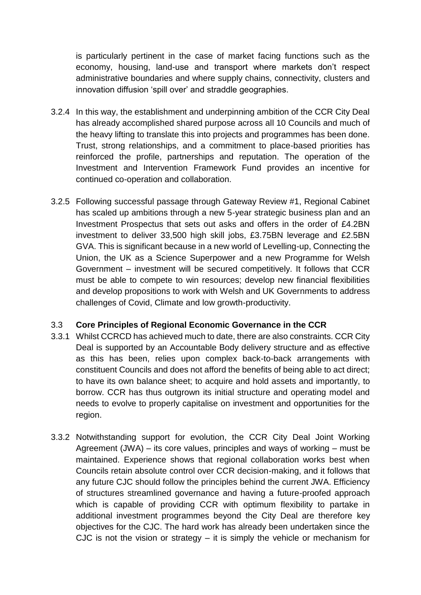is particularly pertinent in the case of market facing functions such as the economy, housing, land-use and transport where markets don't respect administrative boundaries and where supply chains, connectivity, clusters and innovation diffusion 'spill over' and straddle geographies.

- 3.2.4 In this way, the establishment and underpinning ambition of the CCR City Deal has already accomplished shared purpose across all 10 Councils and much of the heavy lifting to translate this into projects and programmes has been done. Trust, strong relationships, and a commitment to place-based priorities has reinforced the profile, partnerships and reputation. The operation of the Investment and Intervention Framework Fund provides an incentive for continued co-operation and collaboration.
- 3.2.5 Following successful passage through Gateway Review #1, Regional Cabinet has scaled up ambitions through a new 5-year strategic business plan and an Investment Prospectus that sets out asks and offers in the order of £4.2BN investment to deliver 33,500 high skill jobs, £3.75BN leverage and £2.5BN GVA. This is significant because in a new world of Levelling-up, Connecting the Union, the UK as a Science Superpower and a new Programme for Welsh Government – investment will be secured competitively. It follows that CCR must be able to compete to win resources; develop new financial flexibilities and develop propositions to work with Welsh and UK Governments to address challenges of Covid, Climate and low growth-productivity.

### 3.3 **Core Principles of Regional Economic Governance in the CCR**

- 3.3.1 Whilst CCRCD has achieved much to date, there are also constraints. CCR City Deal is supported by an Accountable Body delivery structure and as effective as this has been, relies upon complex back-to-back arrangements with constituent Councils and does not afford the benefits of being able to act direct; to have its own balance sheet; to acquire and hold assets and importantly, to borrow. CCR has thus outgrown its initial structure and operating model and needs to evolve to properly capitalise on investment and opportunities for the region.
- 3.3.2 Notwithstanding support for evolution, the CCR City Deal Joint Working Agreement (JWA) – its core values, principles and ways of working – must be maintained. Experience shows that regional collaboration works best when Councils retain absolute control over CCR decision-making, and it follows that any future CJC should follow the principles behind the current JWA. Efficiency of structures streamlined governance and having a future-proofed approach which is capable of providing CCR with optimum flexibility to partake in additional investment programmes beyond the City Deal are therefore key objectives for the CJC. The hard work has already been undertaken since the CJC is not the vision or strategy  $-$  it is simply the vehicle or mechanism for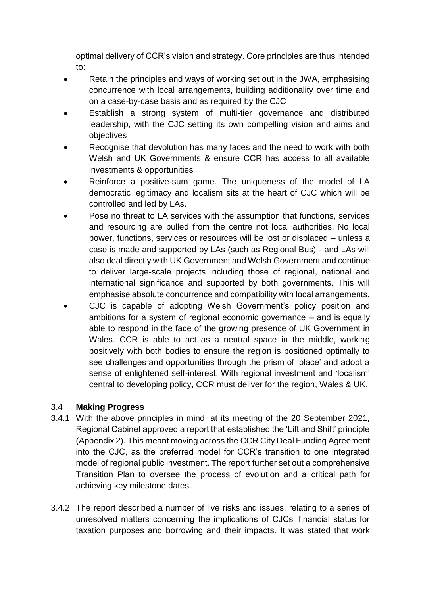optimal delivery of CCR's vision and strategy. Core principles are thus intended to:

- Retain the principles and ways of working set out in the JWA, emphasising concurrence with local arrangements, building additionality over time and on a case-by-case basis and as required by the CJC
- Establish a strong system of multi-tier governance and distributed leadership, with the CJC setting its own compelling vision and aims and objectives
- Recognise that devolution has many faces and the need to work with both Welsh and UK Governments & ensure CCR has access to all available investments & opportunities
- Reinforce a positive-sum game. The uniqueness of the model of LA democratic legitimacy and localism sits at the heart of CJC which will be controlled and led by LAs.
- Pose no threat to LA services with the assumption that functions, services and resourcing are pulled from the centre not local authorities. No local power, functions, services or resources will be lost or displaced – unless a case is made and supported by LAs (such as Regional Bus) - and LAs will also deal directly with UK Government and Welsh Government and continue to deliver large-scale projects including those of regional, national and international significance and supported by both governments. This will emphasise absolute concurrence and compatibility with local arrangements.
- CJC is capable of adopting Welsh Government's policy position and ambitions for a system of regional economic governance – and is equally able to respond in the face of the growing presence of UK Government in Wales. CCR is able to act as a neutral space in the middle, working positively with both bodies to ensure the region is positioned optimally to see challenges and opportunities through the prism of 'place' and adopt a sense of enlightened self-interest. With regional investment and 'localism' central to developing policy, CCR must deliver for the region, Wales & UK.

# 3.4 **Making Progress**

- 3.4.1 With the above principles in mind, at its meeting of the 20 September 2021, Regional Cabinet approved a report that established the 'Lift and Shift' principle (Appendix 2). This meant moving across the CCR City Deal Funding Agreement into the CJC, as the preferred model for CCR's transition to one integrated model of regional public investment. The report further set out a comprehensive Transition Plan to oversee the process of evolution and a critical path for achieving key milestone dates.
- 3.4.2 The report described a number of live risks and issues, relating to a series of unresolved matters concerning the implications of CJCs' financial status for taxation purposes and borrowing and their impacts. It was stated that work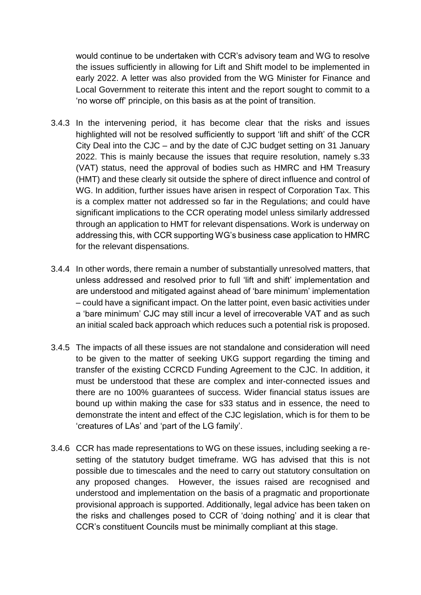would continue to be undertaken with CCR's advisory team and WG to resolve the issues sufficiently in allowing for Lift and Shift model to be implemented in early 2022. A letter was also provided from the WG Minister for Finance and Local Government to reiterate this intent and the report sought to commit to a 'no worse off' principle, on this basis as at the point of transition.

- 3.4.3 In the intervening period, it has become clear that the risks and issues highlighted will not be resolved sufficiently to support 'lift and shift' of the CCR City Deal into the CJC – and by the date of CJC budget setting on 31 January 2022. This is mainly because the issues that require resolution, namely s.33 (VAT) status, need the approval of bodies such as HMRC and HM Treasury (HMT) and these clearly sit outside the sphere of direct influence and control of WG. In addition, further issues have arisen in respect of Corporation Tax. This is a complex matter not addressed so far in the Regulations; and could have significant implications to the CCR operating model unless similarly addressed through an application to HMT for relevant dispensations. Work is underway on addressing this, with CCR supporting WG's business case application to HMRC for the relevant dispensations.
- 3.4.4 In other words, there remain a number of substantially unresolved matters, that unless addressed and resolved prior to full 'lift and shift' implementation and are understood and mitigated against ahead of 'bare minimum' implementation – could have a significant impact. On the latter point, even basic activities under a 'bare minimum' CJC may still incur a level of irrecoverable VAT and as such an initial scaled back approach which reduces such a potential risk is proposed.
- 3.4.5 The impacts of all these issues are not standalone and consideration will need to be given to the matter of seeking UKG support regarding the timing and transfer of the existing CCRCD Funding Agreement to the CJC. In addition, it must be understood that these are complex and inter-connected issues and there are no 100% guarantees of success. Wider financial status issues are bound up within making the case for s33 status and in essence, the need to demonstrate the intent and effect of the CJC legislation, which is for them to be 'creatures of LAs' and 'part of the LG family'.
- 3.4.6 CCR has made representations to WG on these issues, including seeking a resetting of the statutory budget timeframe. WG has advised that this is not possible due to timescales and the need to carry out statutory consultation on any proposed changes. However, the issues raised are recognised and understood and implementation on the basis of a pragmatic and proportionate provisional approach is supported. Additionally, legal advice has been taken on the risks and challenges posed to CCR of 'doing nothing' and it is clear that CCR's constituent Councils must be minimally compliant at this stage.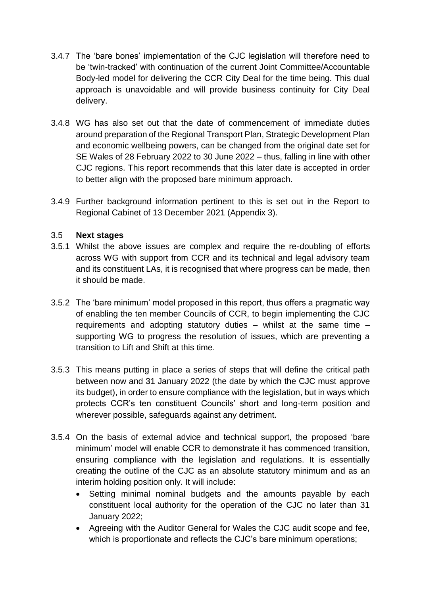- 3.4.7 The 'bare bones' implementation of the CJC legislation will therefore need to be 'twin-tracked' with continuation of the current Joint Committee/Accountable Body-led model for delivering the CCR City Deal for the time being. This dual approach is unavoidable and will provide business continuity for City Deal delivery.
- 3.4.8 WG has also set out that the date of commencement of immediate duties around preparation of the Regional Transport Plan, Strategic Development Plan and economic wellbeing powers, can be changed from the original date set for SE Wales of 28 February 2022 to 30 June 2022 – thus, falling in line with other CJC regions. This report recommends that this later date is accepted in order to better align with the proposed bare minimum approach.
- 3.4.9 Further background information pertinent to this is set out in the Report to Regional Cabinet of 13 December 2021 (Appendix 3).

### 3.5 **Next stages**

- 3.5.1 Whilst the above issues are complex and require the re-doubling of efforts across WG with support from CCR and its technical and legal advisory team and its constituent LAs, it is recognised that where progress can be made, then it should be made.
- 3.5.2 The 'bare minimum' model proposed in this report, thus offers a pragmatic way of enabling the ten member Councils of CCR, to begin implementing the CJC requirements and adopting statutory duties – whilst at the same time – supporting WG to progress the resolution of issues, which are preventing a transition to Lift and Shift at this time.
- 3.5.3 This means putting in place a series of steps that will define the critical path between now and 31 January 2022 (the date by which the CJC must approve its budget), in order to ensure compliance with the legislation, but in ways which protects CCR's ten constituent Councils' short and long-term position and wherever possible, safeguards against any detriment.
- 3.5.4 On the basis of external advice and technical support, the proposed 'bare minimum' model will enable CCR to demonstrate it has commenced transition, ensuring compliance with the legislation and regulations. It is essentially creating the outline of the CJC as an absolute statutory minimum and as an interim holding position only. It will include:
	- Setting minimal nominal budgets and the amounts payable by each constituent local authority for the operation of the CJC no later than 31 January 2022;
	- Agreeing with the Auditor General for Wales the CJC audit scope and fee, which is proportionate and reflects the CJC's bare minimum operations: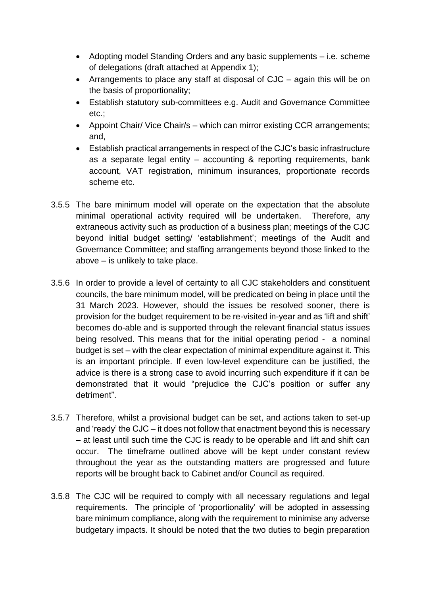- Adopting model Standing Orders and any basic supplements i.e. scheme of delegations (draft attached at Appendix 1);
- Arrangements to place any staff at disposal of CJC again this will be on the basis of proportionality;
- Establish statutory sub-committees e.g. Audit and Governance Committee etc.;
- Appoint Chair/ Vice Chair/s which can mirror existing CCR arrangements; and,
- Establish practical arrangements in respect of the CJC's basic infrastructure as a separate legal entity – accounting & reporting requirements, bank account, VAT registration, minimum insurances, proportionate records scheme etc.
- 3.5.5 The bare minimum model will operate on the expectation that the absolute minimal operational activity required will be undertaken. Therefore, any extraneous activity such as production of a business plan; meetings of the CJC beyond initial budget setting/ 'establishment'; meetings of the Audit and Governance Committee; and staffing arrangements beyond those linked to the above – is unlikely to take place.
- 3.5.6 In order to provide a level of certainty to all CJC stakeholders and constituent councils, the bare minimum model, will be predicated on being in place until the 31 March 2023. However, should the issues be resolved sooner, there is provision for the budget requirement to be re-visited in-year and as 'lift and shift' becomes do-able and is supported through the relevant financial status issues being resolved. This means that for the initial operating period - a nominal budget is set – with the clear expectation of minimal expenditure against it. This is an important principle. If even low-level expenditure can be justified, the advice is there is a strong case to avoid incurring such expenditure if it can be demonstrated that it would "prejudice the CJC's position or suffer any detriment".
- 3.5.7 Therefore, whilst a provisional budget can be set, and actions taken to set-up and 'ready' the CJC – it does not follow that enactment beyond this is necessary – at least until such time the CJC is ready to be operable and lift and shift can occur. The timeframe outlined above will be kept under constant review throughout the year as the outstanding matters are progressed and future reports will be brought back to Cabinet and/or Council as required.
- 3.5.8 The CJC will be required to comply with all necessary regulations and legal requirements. The principle of 'proportionality' will be adopted in assessing bare minimum compliance, along with the requirement to minimise any adverse budgetary impacts. It should be noted that the two duties to begin preparation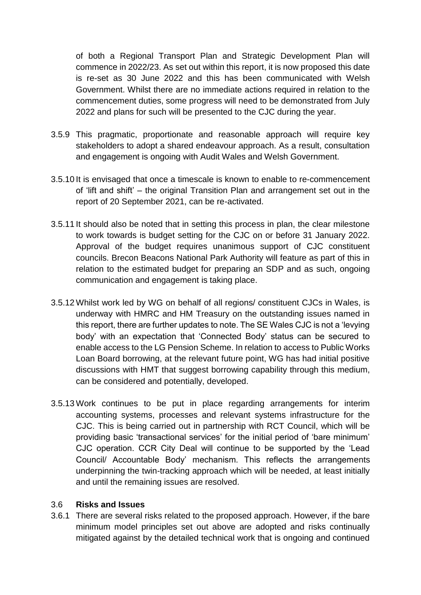of both a Regional Transport Plan and Strategic Development Plan will commence in 2022/23. As set out within this report, it is now proposed this date is re-set as 30 June 2022 and this has been communicated with Welsh Government. Whilst there are no immediate actions required in relation to the commencement duties, some progress will need to be demonstrated from July 2022 and plans for such will be presented to the CJC during the year.

- 3.5.9 This pragmatic, proportionate and reasonable approach will require key stakeholders to adopt a shared endeavour approach. As a result, consultation and engagement is ongoing with Audit Wales and Welsh Government.
- 3.5.10 It is envisaged that once a timescale is known to enable to re-commencement of 'lift and shift' – the original Transition Plan and arrangement set out in the report of 20 September 2021, can be re-activated.
- 3.5.11 It should also be noted that in setting this process in plan, the clear milestone to work towards is budget setting for the CJC on or before 31 January 2022. Approval of the budget requires unanimous support of CJC constituent councils. Brecon Beacons National Park Authority will feature as part of this in relation to the estimated budget for preparing an SDP and as such, ongoing communication and engagement is taking place.
- 3.5.12 Whilst work led by WG on behalf of all regions/ constituent CJCs in Wales, is underway with HMRC and HM Treasury on the outstanding issues named in this report, there are further updates to note. The SE Wales CJC is not a 'levying body' with an expectation that 'Connected Body' status can be secured to enable access to the LG Pension Scheme. In relation to access to Public Works Loan Board borrowing, at the relevant future point, WG has had initial positive discussions with HMT that suggest borrowing capability through this medium, can be considered and potentially, developed.
- 3.5.13 Work continues to be put in place regarding arrangements for interim accounting systems, processes and relevant systems infrastructure for the CJC. This is being carried out in partnership with RCT Council, which will be providing basic 'transactional services' for the initial period of 'bare minimum' CJC operation. CCR City Deal will continue to be supported by the 'Lead Council/ Accountable Body' mechanism. This reflects the arrangements underpinning the twin-tracking approach which will be needed, at least initially and until the remaining issues are resolved.

#### 3.6 **Risks and Issues**

3.6.1 There are several risks related to the proposed approach. However, if the bare minimum model principles set out above are adopted and risks continually mitigated against by the detailed technical work that is ongoing and continued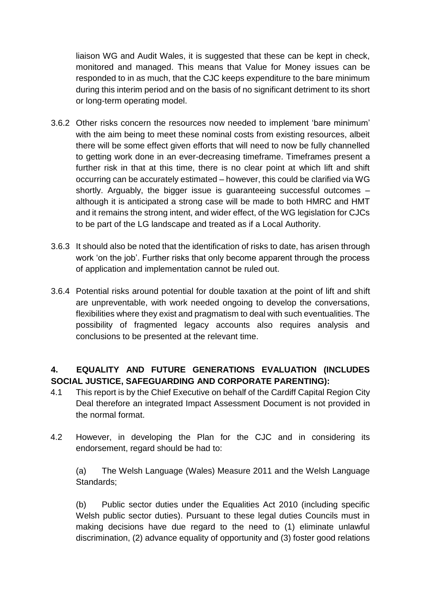liaison WG and Audit Wales, it is suggested that these can be kept in check, monitored and managed. This means that Value for Money issues can be responded to in as much, that the CJC keeps expenditure to the bare minimum during this interim period and on the basis of no significant detriment to its short or long-term operating model.

- 3.6.2 Other risks concern the resources now needed to implement 'bare minimum' with the aim being to meet these nominal costs from existing resources, albeit there will be some effect given efforts that will need to now be fully channelled to getting work done in an ever-decreasing timeframe. Timeframes present a further risk in that at this time, there is no clear point at which lift and shift occurring can be accurately estimated – however, this could be clarified via WG shortly. Arguably, the bigger issue is guaranteeing successful outcomes – although it is anticipated a strong case will be made to both HMRC and HMT and it remains the strong intent, and wider effect, of the WG legislation for CJCs to be part of the LG landscape and treated as if a Local Authority.
- 3.6.3 It should also be noted that the identification of risks to date, has arisen through work 'on the job'. Further risks that only become apparent through the process of application and implementation cannot be ruled out.
- 3.6.4 Potential risks around potential for double taxation at the point of lift and shift are unpreventable, with work needed ongoing to develop the conversations, flexibilities where they exist and pragmatism to deal with such eventualities. The possibility of fragmented legacy accounts also requires analysis and conclusions to be presented at the relevant time.

# **4. EQUALITY AND FUTURE GENERATIONS EVALUATION (INCLUDES SOCIAL JUSTICE, SAFEGUARDING AND CORPORATE PARENTING):**

- 4.1 This report is by the Chief Executive on behalf of the Cardiff Capital Region City Deal therefore an integrated Impact Assessment Document is not provided in the normal format.
- 4.2 However, in developing the Plan for the CJC and in considering its endorsement, regard should be had to:

(a) The Welsh Language (Wales) Measure 2011 and the Welsh Language Standards;

(b) Public sector duties under the Equalities Act 2010 (including specific Welsh public sector duties). Pursuant to these legal duties Councils must in making decisions have due regard to the need to (1) eliminate unlawful discrimination, (2) advance equality of opportunity and (3) foster good relations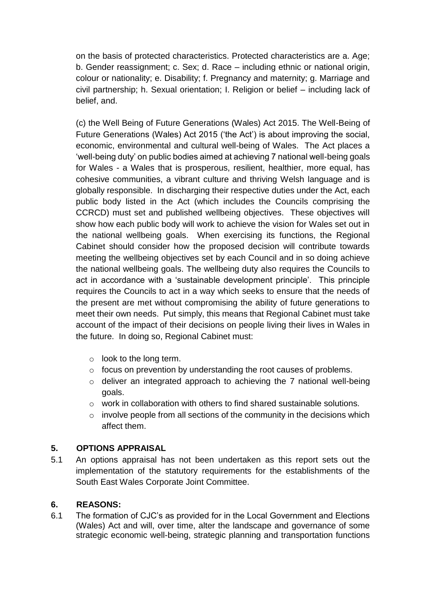on the basis of protected characteristics. Protected characteristics are a. Age; b. Gender reassignment; c. Sex; d. Race – including ethnic or national origin, colour or nationality; e. Disability; f. Pregnancy and maternity; g. Marriage and civil partnership; h. Sexual orientation; I. Religion or belief – including lack of belief, and.

(c) the Well Being of Future Generations (Wales) Act 2015. The Well-Being of Future Generations (Wales) Act 2015 ('the Act') is about improving the social, economic, environmental and cultural well-being of Wales. The Act places a 'well-being duty' on public bodies aimed at achieving 7 national well-being goals for Wales - a Wales that is prosperous, resilient, healthier, more equal, has cohesive communities, a vibrant culture and thriving Welsh language and is globally responsible. In discharging their respective duties under the Act, each public body listed in the Act (which includes the Councils comprising the CCRCD) must set and published wellbeing objectives. These objectives will show how each public body will work to achieve the vision for Wales set out in the national wellbeing goals. When exercising its functions, the Regional Cabinet should consider how the proposed decision will contribute towards meeting the wellbeing objectives set by each Council and in so doing achieve the national wellbeing goals. The wellbeing duty also requires the Councils to act in accordance with a 'sustainable development principle'. This principle requires the Councils to act in a way which seeks to ensure that the needs of the present are met without compromising the ability of future generations to meet their own needs. Put simply, this means that Regional Cabinet must take account of the impact of their decisions on people living their lives in Wales in the future. In doing so, Regional Cabinet must:

- o look to the long term.
- o focus on prevention by understanding the root causes of problems.
- o deliver an integrated approach to achieving the 7 national well-being goals.
- o work in collaboration with others to find shared sustainable solutions.
- $\circ$  involve people from all sections of the community in the decisions which affect them.

# **5. OPTIONS APPRAISAL**

5.1 An options appraisal has not been undertaken as this report sets out the implementation of the statutory requirements for the establishments of the South East Wales Corporate Joint Committee.

### **6. REASONS:**

6.1 The formation of CJC's as provided for in the Local Government and Elections (Wales) Act and will, over time, alter the landscape and governance of some strategic economic well-being, strategic planning and transportation functions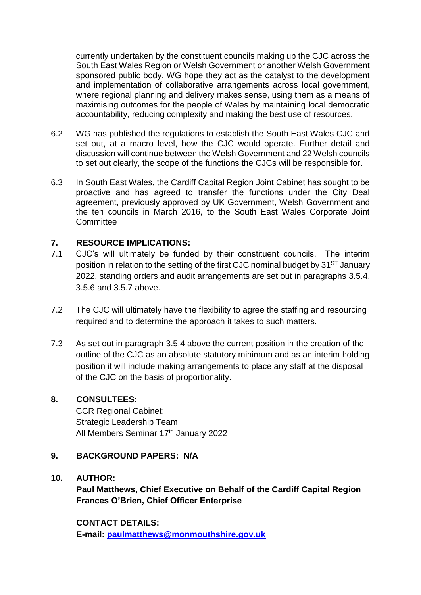currently undertaken by the constituent councils making up the CJC across the South East Wales Region or Welsh Government or another Welsh Government sponsored public body. WG hope they act as the catalyst to the development and implementation of collaborative arrangements across local government, where regional planning and delivery makes sense, using them as a means of maximising outcomes for the people of Wales by maintaining local democratic accountability, reducing complexity and making the best use of resources.

- 6.2 WG has published the regulations to establish the South East Wales CJC and set out, at a macro level, how the CJC would operate. Further detail and discussion will continue between the Welsh Government and 22 Welsh councils to set out clearly, the scope of the functions the CJCs will be responsible for.
- 6.3 In South East Wales, the Cardiff Capital Region Joint Cabinet has sought to be proactive and has agreed to transfer the functions under the City Deal agreement, previously approved by UK Government, Welsh Government and the ten councils in March 2016, to the South East Wales Corporate Joint **Committee**

### **7. RESOURCE IMPLICATIONS:**

- 7.1 CJC's will ultimately be funded by their constituent councils. The interim position in relation to the setting of the first CJC nominal budget by 31<sup>ST</sup> January 2022, standing orders and audit arrangements are set out in paragraphs 3.5.4, 3.5.6 and 3.5.7 above.
- 7.2 The CJC will ultimately have the flexibility to agree the staffing and resourcing required and to determine the approach it takes to such matters.
- 7.3 As set out in paragraph 3.5.4 above the current position in the creation of the outline of the CJC as an absolute statutory minimum and as an interim holding position it will include making arrangements to place any staff at the disposal of the CJC on the basis of proportionality.

## **8. CONSULTEES:**

CCR Regional Cabinet; Strategic Leadership Team All Members Seminar 17<sup>th</sup> January 2022

### **9. BACKGROUND PAPERS: N/A**

#### **10. AUTHOR:**

**Paul Matthews, Chief Executive on Behalf of the Cardiff Capital Region Frances O'Brien, Chief Officer Enterprise**

**CONTACT DETAILS: E-mail: [paulmatthews@monmouthshire.gov.uk](mailto:paulmatthews@monmouthshire.gov.uk)**